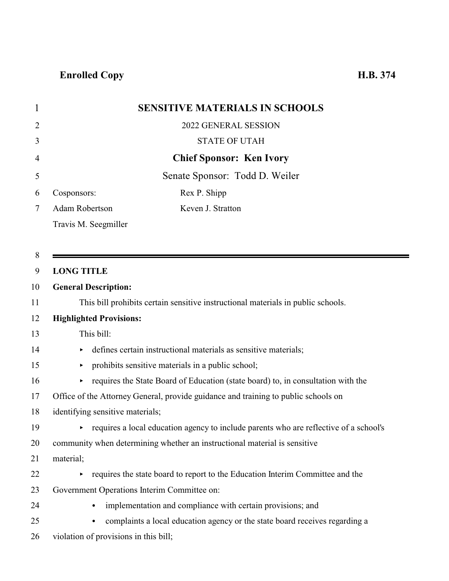| $\mathbf 1$    | <b>SENSITIVE MATERIALS IN SCHOOLS</b>                                                   |
|----------------|-----------------------------------------------------------------------------------------|
| $\overline{2}$ | 2022 GENERAL SESSION                                                                    |
| 3              | <b>STATE OF UTAH</b>                                                                    |
| 4              | <b>Chief Sponsor: Ken Ivory</b>                                                         |
| 5              | Senate Sponsor: Todd D. Weiler                                                          |
| 6              | Cosponsors:<br>Rex P. Shipp                                                             |
| 7              | Adam Robertson<br>Keven J. Stratton                                                     |
|                | Travis M. Seegmiller                                                                    |
|                |                                                                                         |
| 8              |                                                                                         |
| 9              | <b>LONG TITLE</b>                                                                       |
| 10             | <b>General Description:</b>                                                             |
| 11             | This bill prohibits certain sensitive instructional materials in public schools.        |
| 12             | <b>Highlighted Provisions:</b>                                                          |
| 13             | This bill:                                                                              |
| 14             | defines certain instructional materials as sensitive materials;<br>▶                    |
| 15             | prohibits sensitive materials in a public school;<br>▶                                  |
| 16             | requires the State Board of Education (state board) to, in consultation with the<br>Þ.  |
| 17             | Office of the Attorney General, provide guidance and training to public schools on      |
| 18             | identifying sensitive materials;                                                        |
| 19             | • requires a local education agency to include parents who are reflective of a school's |
| 20             | community when determining whether an instructional material is sensitive               |
| 21             | material;                                                                               |
| 22             | requires the state board to report to the Education Interim Committee and the<br>Þ.     |
| 23             | Government Operations Interim Committee on:                                             |
| 24             | implementation and compliance with certain provisions; and                              |
| 25             | complaints a local education agency or the state board receives regarding a             |
| 26             | violation of provisions in this bill;                                                   |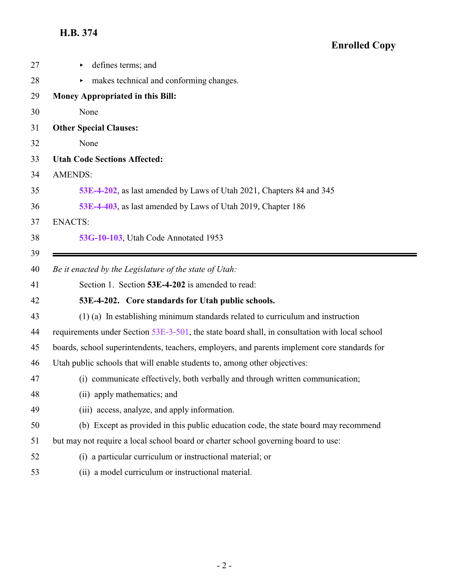<span id="page-1-0"></span>

| 27 | defines terms; and                                                                             |
|----|------------------------------------------------------------------------------------------------|
| 28 | makes technical and conforming changes.                                                        |
| 29 | Money Appropriated in this Bill:                                                               |
| 30 | None                                                                                           |
| 31 | <b>Other Special Clauses:</b>                                                                  |
| 32 | None                                                                                           |
| 33 | <b>Utah Code Sections Affected:</b>                                                            |
| 34 | <b>AMENDS:</b>                                                                                 |
| 35 | 53E-4-202, as last amended by Laws of Utah 2021, Chapters 84 and 345                           |
| 36 | 53E-4-403, as last amended by Laws of Utah 2019, Chapter 186                                   |
| 37 | <b>ENACTS:</b>                                                                                 |
| 38 | 53G-10-103, Utah Code Annotated 1953                                                           |
| 39 |                                                                                                |
| 40 | Be it enacted by the Legislature of the state of Utah:                                         |
| 41 | Section 1. Section 53E-4-202 is amended to read:                                               |
| 42 | 53E-4-202. Core standards for Utah public schools.                                             |
| 43 | (1) (a) In establishing minimum standards related to curriculum and instruction                |
| 44 | requirements under Section 53E-3-501, the state board shall, in consultation with local school |
| 45 | boards, school superintendents, teachers, employers, and parents implement core standards for  |
| 46 | Utah public schools that will enable students to, among other objectives:                      |
| 47 | (i) communicate effectively, both verbally and through written communication;                  |
| 48 | (ii) apply mathematics; and                                                                    |
| 49 | (iii) access, analyze, and apply information.                                                  |
| 50 | (b) Except as provided in this public education code, the state board may recommend            |
| 51 | but may not require a local school board or charter school governing board to use:             |
| 52 | (i) a particular curriculum or instructional material; or                                      |
| 53 | (ii) a model curriculum or instructional material.                                             |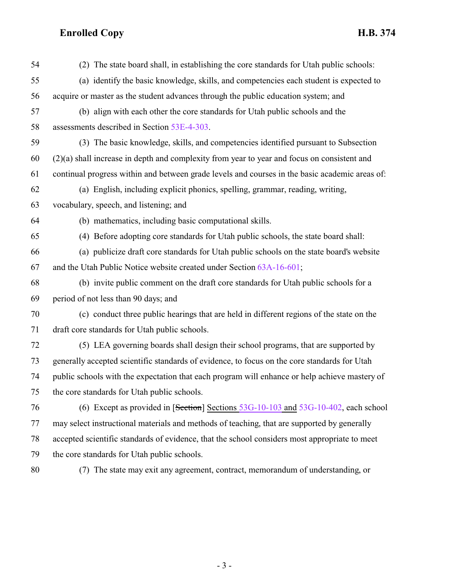| 54 | (2) The state board shall, in establishing the core standards for Utah public schools:         |
|----|------------------------------------------------------------------------------------------------|
| 55 | (a) identify the basic knowledge, skills, and competencies each student is expected to         |
| 56 | acquire or master as the student advances through the public education system; and             |
| 57 | (b) align with each other the core standards for Utah public schools and the                   |
| 58 | assessments described in Section 53E-4-303.                                                    |
| 59 | (3) The basic knowledge, skills, and competencies identified pursuant to Subsection            |
| 60 | $(2)(a)$ shall increase in depth and complexity from year to year and focus on consistent and  |
| 61 | continual progress within and between grade levels and courses in the basic academic areas of: |
| 62 | (a) English, including explicit phonics, spelling, grammar, reading, writing,                  |
| 63 | vocabulary, speech, and listening; and                                                         |
| 64 | (b) mathematics, including basic computational skills.                                         |
| 65 | (4) Before adopting core standards for Utah public schools, the state board shall:             |
| 66 | (a) publicize draft core standards for Utah public schools on the state board's website        |
| 67 | and the Utah Public Notice website created under Section 63A-16-601;                           |
| 68 | (b) invite public comment on the draft core standards for Utah public schools for a            |
| 69 | period of not less than 90 days; and                                                           |
| 70 | (c) conduct three public hearings that are held in different regions of the state on the       |
| 71 | draft core standards for Utah public schools.                                                  |
| 72 | (5) LEA governing boards shall design their school programs, that are supported by             |
| 73 | generally accepted scientific standards of evidence, to focus on the core standards for Utah   |
| 74 | public schools with the expectation that each program will enhance or help achieve mastery of  |
| 75 | the core standards for Utah public schools.                                                    |
| 76 | (6) Except as provided in $[Section]$ Sections $53G-10-103$ and $53G-10-402$ , each school     |
| 77 | may select instructional materials and methods of teaching, that are supported by generally    |
| 78 | accepted scientific standards of evidence, that the school considers most appropriate to meet  |
| 79 | the core standards for Utah public schools.                                                    |
| 80 | (7) The state may exit any agreement, contract, memorandum of understanding, or                |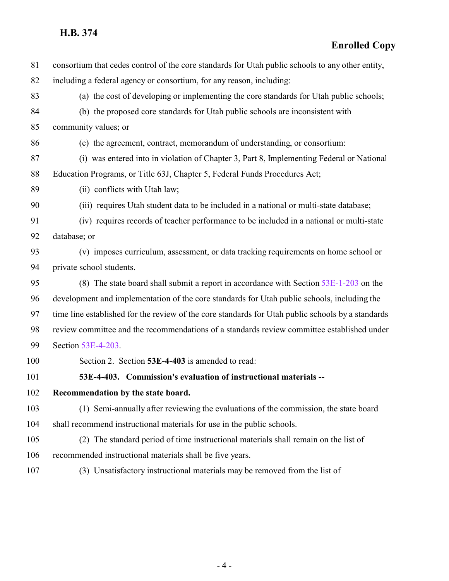#### **H.B. 374**

### **Enrolled Copy**

<span id="page-3-0"></span>

| 81  | consortium that cedes control of the core standards for Utah public schools to any other entity,  |
|-----|---------------------------------------------------------------------------------------------------|
| 82  | including a federal agency or consortium, for any reason, including:                              |
| 83  | (a) the cost of developing or implementing the core standards for Utah public schools;            |
| 84  | (b) the proposed core standards for Utah public schools are inconsistent with                     |
| 85  | community values; or                                                                              |
| 86  | (c) the agreement, contract, memorandum of understanding, or consortium:                          |
| 87  | (i) was entered into in violation of Chapter 3, Part 8, Implementing Federal or National          |
| 88  | Education Programs, or Title 63J, Chapter 5, Federal Funds Procedures Act;                        |
| 89  | (ii) conflicts with Utah law;                                                                     |
| 90  | (iii) requires Utah student data to be included in a national or multi-state database;            |
| 91  | (iv) requires records of teacher performance to be included in a national or multi-state          |
| 92  | database; or                                                                                      |
| 93  | (v) imposes curriculum, assessment, or data tracking requirements on home school or               |
| 94  | private school students.                                                                          |
| 95  | (8) The state board shall submit a report in accordance with Section $53E-1-203$ on the           |
| 96  | development and implementation of the core standards for Utah public schools, including the       |
| 97  | time line established for the review of the core standards for Utah public schools by a standards |
| 98  | review committee and the recommendations of a standards review committee established under        |
| 99  | Section 53E-4-203.                                                                                |
| 100 | Section 2. Section 53E-4-403 is amended to read:                                                  |
| 101 | 53E-4-403. Commission's evaluation of instructional materials --                                  |
| 102 | Recommendation by the state board.                                                                |
| 103 | (1) Semi-annually after reviewing the evaluations of the commission, the state board              |
| 104 | shall recommend instructional materials for use in the public schools.                            |
| 105 | (2) The standard period of time instructional materials shall remain on the list of               |
| 106 | recommended instructional materials shall be five years.                                          |
| 107 | (3) Unsatisfactory instructional materials may be removed from the list of                        |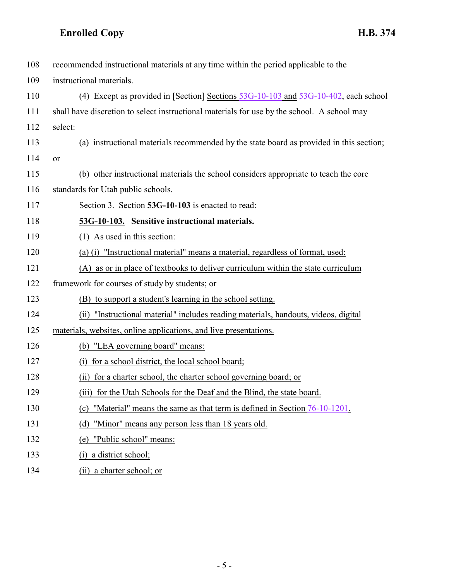<span id="page-4-0"></span>

| 108 | recommended instructional materials at any time within the period applicable to the         |
|-----|---------------------------------------------------------------------------------------------|
| 109 | instructional materials.                                                                    |
| 110 | (4) Except as provided in [Section] Sections $53G-10-103$ and $53G-10-402$ , each school    |
| 111 | shall have discretion to select instructional materials for use by the school. A school may |
| 112 | select:                                                                                     |
| 113 | (a) instructional materials recommended by the state board as provided in this section;     |
| 114 | or                                                                                          |
| 115 | (b) other instructional materials the school considers appropriate to teach the core        |
| 116 | standards for Utah public schools.                                                          |
| 117 | Section 3. Section 53G-10-103 is enacted to read:                                           |
| 118 | 53G-10-103. Sensitive instructional materials.                                              |
| 119 | (1) As used in this section:                                                                |
| 120 | (a) (i) "Instructional material" means a material, regardless of format, used:              |
| 121 | (A) as or in place of textbooks to deliver curriculum within the state curriculum           |
| 122 | framework for courses of study by students; or                                              |
| 123 | (B) to support a student's learning in the school setting.                                  |
| 124 | "Instructional material" includes reading materials, handouts, videos, digital<br>(ii)      |
| 125 | materials, websites, online applications, and live presentations.                           |
| 126 | (b) "LEA governing board" means:                                                            |
| 127 | (i) for a school district, the local school board;                                          |
| 128 | (ii) for a charter school, the charter school governing board; or                           |
| 129 | for the Utah Schools for the Deaf and the Blind, the state board.<br>(iii)                  |
| 130 | "Material" means the same as that term is defined in Section 76-10-1201.<br>(c)             |
| 131 | "Minor" means any person less than 18 years old.<br>(d)                                     |
| 132 | "Public school" means:<br>(e)                                                               |
| 133 | a district school;<br>(i)                                                                   |
| 134 | (ii) a charter school; or                                                                   |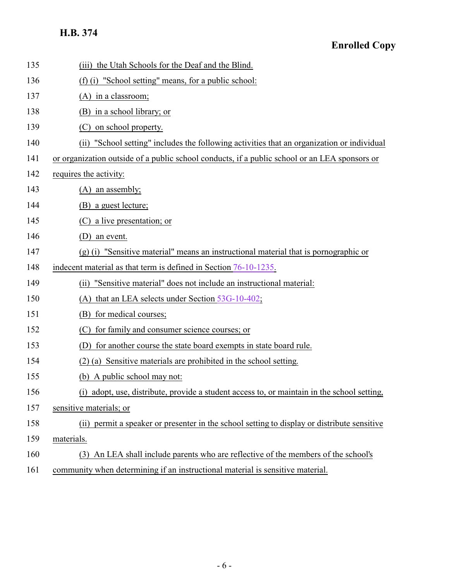### **H.B. 374**

### **Enrolled Copy**

| 135 | (iii) the Utah Schools for the Deaf and the Blind.                                             |
|-----|------------------------------------------------------------------------------------------------|
| 136 | (f) (i) "School setting" means, for a public school:                                           |
| 137 | $(A)$ in a classroom;                                                                          |
| 138 | (B) in a school library; or                                                                    |
| 139 | on school property.<br>(C)                                                                     |
| 140 | "School setting" includes the following activities that an organization or individual<br>(ii)  |
| 141 | or organization outside of a public school conducts, if a public school or an LEA sponsors or  |
| 142 | requires the activity:                                                                         |
| 143 | $(A)$ an assembly;                                                                             |
| 144 | (B) a guest lecture;                                                                           |
| 145 | (C) a live presentation; or                                                                    |
| 146 | an event.<br>(D)                                                                               |
| 147 | $(g)$ (i) "Sensitive material" means an instructional material that is pornographic or         |
| 148 | indecent material as that term is defined in Section 76-10-1235.                               |
| 149 | "Sensitive material" does not include an instructional material:<br>(ii)                       |
| 150 | that an LEA selects under Section 53G-10-402;<br>(A)                                           |
| 151 | for medical courses;<br>(B)                                                                    |
| 152 | for family and consumer science courses; or<br>(C)                                             |
| 153 | for another course the state board exempts in state board rule.<br>(D)                         |
| 154 | $(2)$ (a) Sensitive materials are prohibited in the school setting.                            |
| 155 | A public school may not:<br>(b)                                                                |
| 156 | adopt, use, distribute, provide a student access to, or maintain in the school setting,<br>(1) |
| 157 | sensitive materials; or                                                                        |
| 158 | permit a speaker or presenter in the school setting to display or distribute sensitive<br>(ii) |
| 159 | materials.                                                                                     |
| 160 | An LEA shall include parents who are reflective of the members of the school's<br>(3)          |
| 161 | community when determining if an instructional material is sensitive material.                 |